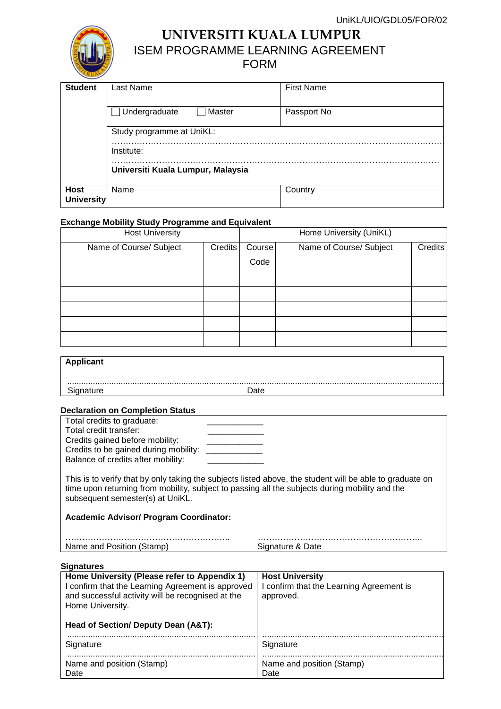

**UNIVERSITI KUALA LUMPUR** ISEM PROGRAMME LEARNING AGREEMENT

## FORM

| <b>Student</b>                   | Last Name                         | <b>First Name</b> |  |  |
|----------------------------------|-----------------------------------|-------------------|--|--|
|                                  | Master<br>$\Box$ Undergraduate    | Passport No       |  |  |
|                                  | Study programme at UniKL:         |                   |  |  |
|                                  | Institute:                        |                   |  |  |
|                                  | Universiti Kuala Lumpur, Malaysia |                   |  |  |
| <b>Host</b><br><b>University</b> | Name                              | Country           |  |  |

### **Exchange Mobility Study Programme and Equivalent**

| <b>Host University</b>  |         | Home University (UniKL) |                         |         |
|-------------------------|---------|-------------------------|-------------------------|---------|
| Name of Course/ Subject | Credits | Course                  | Name of Course/ Subject | Credits |
|                         |         | Code                    |                         |         |
|                         |         |                         |                         |         |
|                         |         |                         |                         |         |
|                         |         |                         |                         |         |
|                         |         |                         |                         |         |
|                         |         |                         |                         |         |

| Applicant                         |      |  |
|-----------------------------------|------|--|
| Signature                         | Date |  |
| Beclevetten en Bemutation Blotter |      |  |

### **Declaration on Completion Status**

| Total credits to graduate:                                                                                                                                                                                                                     |                  |  |  |
|------------------------------------------------------------------------------------------------------------------------------------------------------------------------------------------------------------------------------------------------|------------------|--|--|
| Total credit transfer:                                                                                                                                                                                                                         |                  |  |  |
| Credits gained before mobility:                                                                                                                                                                                                                |                  |  |  |
| Credits to be gained during mobility:                                                                                                                                                                                                          |                  |  |  |
| Balance of credits after mobility:                                                                                                                                                                                                             |                  |  |  |
|                                                                                                                                                                                                                                                |                  |  |  |
| This is to verify that by only taking the subjects listed above, the student will be able to graduate on<br>time upon returning from mobility, subject to passing all the subjects during mobility and the<br>subsequent semester(s) at UniKL. |                  |  |  |
| <b>Academic Advisor/ Program Coordinator:</b>                                                                                                                                                                                                  |                  |  |  |
|                                                                                                                                                                                                                                                |                  |  |  |
| Name and Position (Stamp)                                                                                                                                                                                                                      | Signature & Date |  |  |

| Signatures |
|------------|
|------------|

| Home University (Please refer to Appendix 1)<br>I confirm that the Learning Agreement is approved<br>and successful activity will be recognised at the<br>Home University. | <b>Host University</b><br>I confirm that the Learning Agreement is<br>approved. |  |
|----------------------------------------------------------------------------------------------------------------------------------------------------------------------------|---------------------------------------------------------------------------------|--|
| Head of Section/ Deputy Dean (A&T):                                                                                                                                        |                                                                                 |  |
| Signature                                                                                                                                                                  | Signature                                                                       |  |
| Name and position (Stamp)<br>Date                                                                                                                                          | Name and position (Stamp)<br>Date                                               |  |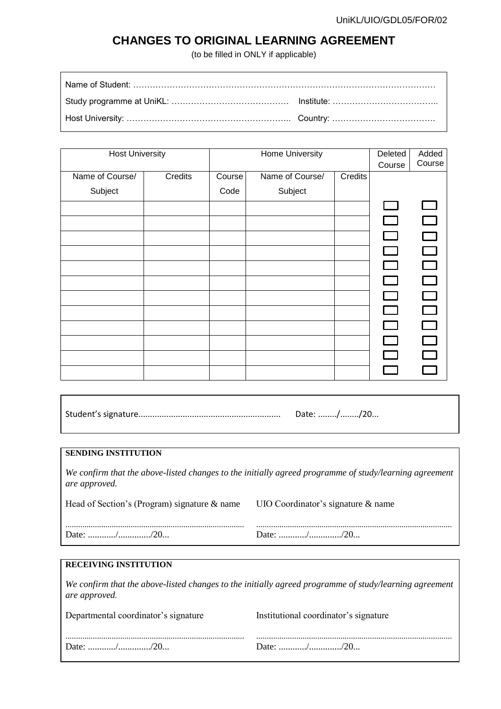# **CHANGES TO ORIGINAL LEARNING AGREEMENT**

(to be filled in ONLY if applicable)

| <b>Host University</b> |         | Home University |                 |         | Deleted                   | Added     |
|------------------------|---------|-----------------|-----------------|---------|---------------------------|-----------|
|                        |         |                 |                 |         | Course                    | Course    |
| Name of Course/        | Credits | Course          | Name of Course/ | Credits |                           |           |
| Subject                |         | Code            | Subject         |         |                           |           |
|                        |         |                 |                 |         | I –                       |           |
|                        |         |                 |                 |         | <b>Contract</b>           | $\sim 10$ |
|                        |         |                 |                 |         | <b>The Contract State</b> | $\Box$    |
|                        |         |                 |                 |         | l I                       | $\Box$    |
|                        |         |                 |                 |         | $\Box$                    | $\Box$    |
|                        |         |                 |                 |         |                           |           |
|                        |         |                 |                 |         |                           | $\Box$    |
|                        |         |                 |                 |         | $\Box$                    | $\Box$    |
|                        |         |                 |                 |         | $\mathbf{I}$              | $\Box$    |
|                        |         |                 |                 |         | $\mathbf{I}$              | $\Box$    |
|                        |         |                 |                 |         |                           |           |
|                        |         |                 |                 |         |                           |           |

| Date: //20 |
|------------|
|            |

### **SENDING INSTITUTION**

*We confirm that the above-listed changes to the initially agreed programme of study/learning agreement are approved.*

| Head of Section's (Program) signature & name UIO Coordinator's signature & name |  |  |
|---------------------------------------------------------------------------------|--|--|
|                                                                                 |  |  |
|                                                                                 |  |  |

### **RECEIVING INSTITUTION**

*We confirm that the above-listed changes to the initially agreed programme of study/learning agreement are approved.*

| Departmental coordinator's signature | Institutional coordinator's signature |
|--------------------------------------|---------------------------------------|
|                                      |                                       |